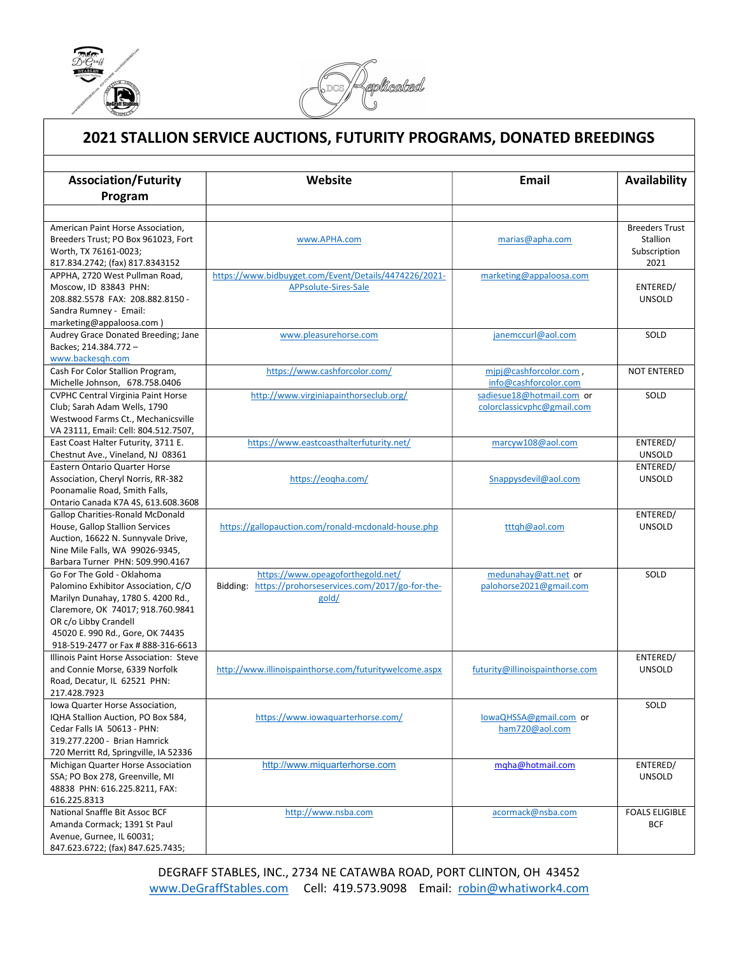

ı



## 2021 STALLION SERVICE AUCTIONS, FUTURITY PROGRAMS, DONATED BREEDINGS

| <b>Association/Futurity</b>                                                                                                                                                                                                                     | Website                                                                                              | Email                                                   | Availability                                              |
|-------------------------------------------------------------------------------------------------------------------------------------------------------------------------------------------------------------------------------------------------|------------------------------------------------------------------------------------------------------|---------------------------------------------------------|-----------------------------------------------------------|
| Program                                                                                                                                                                                                                                         |                                                                                                      |                                                         |                                                           |
|                                                                                                                                                                                                                                                 |                                                                                                      |                                                         |                                                           |
| American Paint Horse Association,<br>Breeders Trust; PO Box 961023, Fort<br>Worth, TX 76161-0023;<br>817.834.2742; (fax) 817.8343152                                                                                                            | www.APHA.com                                                                                         | marias@apha.com                                         | <b>Breeders Trust</b><br>Stallion<br>Subscription<br>2021 |
| APPHA, 2720 West Pullman Road,                                                                                                                                                                                                                  | https://www.bidbuyget.com/Event/Details/4474226/2021-                                                | marketing@appaloosa.com                                 |                                                           |
| Moscow, ID 83843 PHN:<br>208.882.5578 FAX: 208.882.8150 -<br>Sandra Rumney - Email:<br>marketing@appaloosa.com)                                                                                                                                 | APPsolute-Sires-Sale                                                                                 |                                                         | ENTERED/<br><b>UNSOLD</b>                                 |
| Audrey Grace Donated Breeding; Jane<br>Backes; 214.384.772 -<br>www.backesgh.com                                                                                                                                                                | www.pleasurehorse.com                                                                                | janemccurl@aol.com                                      | SOLD                                                      |
| Cash For Color Stallion Program,<br>Michelle Johnson, 678.758.0406                                                                                                                                                                              | https://www.cashforcolor.com/                                                                        | mipj@cashforcolor.com,<br>info@cashforcolor.com         | <b>NOT ENTERED</b>                                        |
| <b>CVPHC Central Virginia Paint Horse</b><br>Club; Sarah Adam Wells, 1790<br>Westwood Farms Ct., Mechanicsville<br>VA 23111, Email: Cell: 804.512.7507,                                                                                         | http://www.virginiapainthorseclub.org/                                                               | sadiesue18@hotmail.com or<br>colorclassicvphc@gmail.com | SOLD                                                      |
| East Coast Halter Futurity, 3711 E.<br>Chestnut Ave., Vineland, NJ 08361                                                                                                                                                                        | https://www.eastcoasthalterfuturity.net/                                                             | marcyw108@aol.com                                       | ENTERED/<br><b>UNSOLD</b>                                 |
| <b>Eastern Ontario Quarter Horse</b>                                                                                                                                                                                                            |                                                                                                      |                                                         | ENTERED/                                                  |
| Association, Cheryl Norris, RR-382<br>Poonamalie Road, Smith Falls,<br>Ontario Canada K7A 4S, 613.608.3608                                                                                                                                      | https://eogha.com/                                                                                   | Snappysdevil@aol.com                                    | <b>UNSOLD</b>                                             |
| <b>Gallop Charities-Ronald McDonald</b><br>House, Gallop Stallion Services<br>Auction, 16622 N. Sunnyvale Drive,<br>Nine Mile Falls, WA 99026-9345,<br>Barbara Turner PHN: 509.990.4167                                                         | https://gallopauction.com/ronald-mcdonald-house.php                                                  | tttqh@aol.com                                           | ENTERED/<br><b>UNSOLD</b>                                 |
| Go For The Gold - Oklahoma<br>Palomino Exhibitor Association, C/O<br>Marilyn Dunahay, 1780 S. 4200 Rd.,<br>Claremore, OK 74017; 918.760.9841<br>OR c/o Libby Crandell<br>45020 E. 990 Rd., Gore, OK 74435<br>918-519-2477 or Fax # 888-316-6613 | https://www.opeagoforthegold.net/<br>Bidding: https://prohorseservices.com/2017/go-for-the-<br>gold/ | medunahay@att.net or<br>palohorse2021@gmail.com         | SOLD                                                      |
| Illinois Paint Horse Association: Steve<br>and Connie Morse, 6339 Norfolk<br>Road, Decatur, IL 62521 PHN:<br>217.428.7923                                                                                                                       | http://www.illinoispainthorse.com/futuritywelcome.aspx                                               | futurity@illinoispainthorse.com                         | ENTERED/<br><b>UNSOLD</b>                                 |
| Iowa Quarter Horse Association,<br>IQHA Stallion Auction, PO Box 584,<br>Cedar Falls IA 50613 - PHN:<br>319.277.2200 - Brian Hamrick<br>720 Merritt Rd, Springville, IA 52336                                                                   | https://www.iowaquarterhorse.com/                                                                    | lowaQHSSA@gmail.com or<br>ham720@aol.com                | SOLD                                                      |
| Michigan Quarter Horse Association<br>SSA; PO Box 278, Greenville, MI<br>48838 PHN: 616.225.8211, FAX:<br>616.225.8313                                                                                                                          | http://www.miquarterhorse.com                                                                        | mqha@hotmail.com                                        | ENTERED/<br>UNSOLD                                        |
| National Snaffle Bit Assoc BCF<br>Amanda Cormack; 1391 St Paul<br>Avenue, Gurnee, IL 60031;<br>847.623.6722; (fax) 847.625.7435;                                                                                                                | http://www.nsba.com                                                                                  | acormack@nsba.com                                       | <b>FOALS ELIGIBLE</b><br><b>BCF</b>                       |

DEGRAFF STABLES, INC., 2734 NE CATAWBA ROAD, PORT CLINTON, OH 43452 www.DeGraffStables.com Cell: 419.573.9098 Email: robin@whatiwork4.com